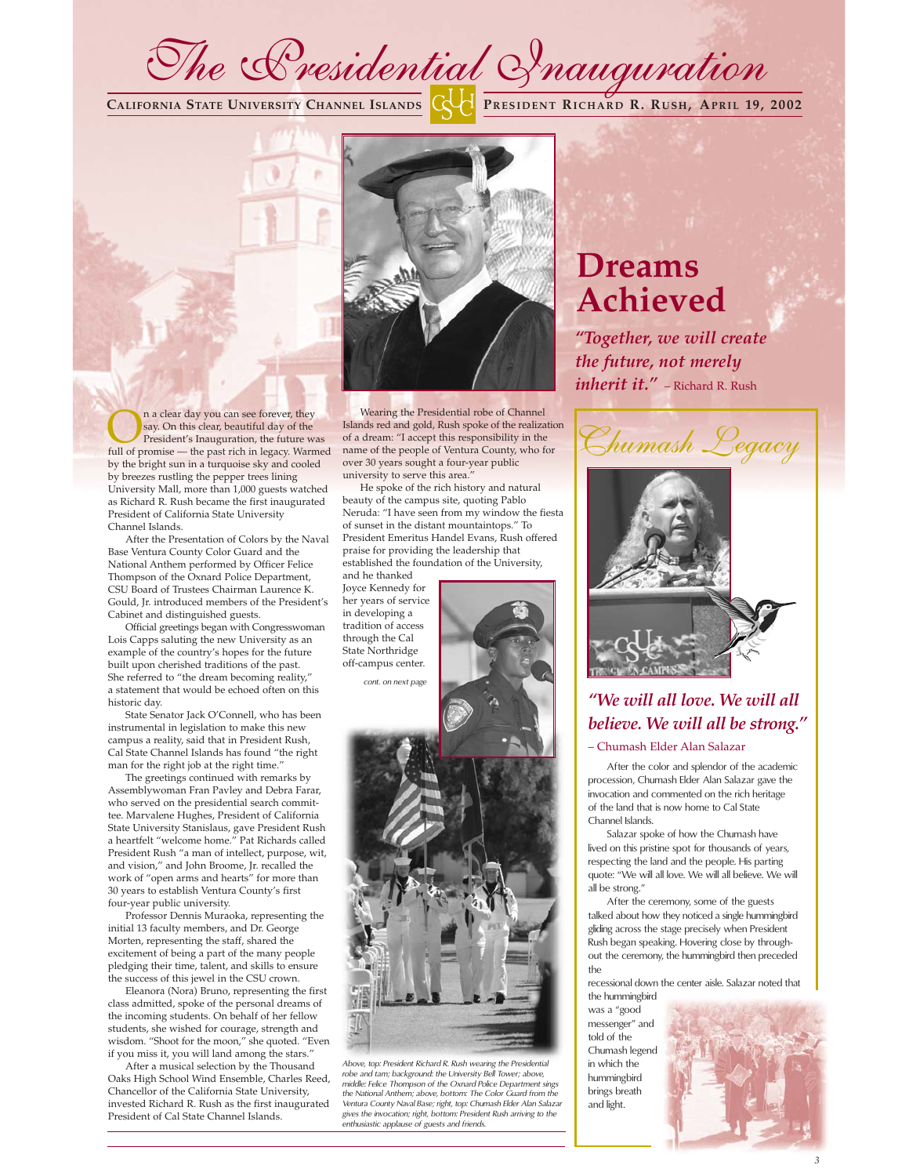

**CALIFORNIA STATE UNIVERSITY CHANNEL ISLANDS PRESIDENT RICHARD R. RUSH, APRIL 19, 2002**



**On** a clear day you can see forever, they say. On this clear, beautiful day of the future was full of promise — the past rich in legacy. Warme say. On this clear, beautiful day of the full of promise — the past rich in legacy. Warmed by the bright sun in a turquoise sky and cooled by breezes rustling the pepper trees lining University Mall, more than 1,000 guests watched as Richard R. Rush became the first inaugurated President of California State University Channel Islands.

After the Presentation of Colors by the Naval Base Ventura County Color Guard and the National Anthem performed by Officer Felice Thompson of the Oxnard Police Department, CSU Board of Trustees Chairman Laurence K. Gould, Jr. introduced members of the President's Cabinet and distinguished guests.

Official greetings began with Congresswoman Lois Capps saluting the new University as an example of the country's hopes for the future built upon cherished traditions of the past. She referred to "the dream becoming reality," a statement that would be echoed often on this historic day.

State Senator Jack O'Connell, who has been instrumental in legislation to make this new campus a reality, said that in President Rush, Cal State Channel Islands has found "the right man for the right job at the right time."

The greetings continued with remarks by Assemblywoman Fran Pavley and Debra Farar, who served on the presidential search committee. Marvalene Hughes, President of California State University Stanislaus, gave President Rush a heartfelt "welcome home." Pat Richards called President Rush "a man of intellect, purpose, wit, and vision," and John Broome, Jr. recalled the work of "open arms and hearts" for more than 30 years to establish Ventura County's first four-year public university.

Professor Dennis Muraoka, representing the initial 13 faculty members, and Dr. George Morten, representing the staff, shared the excitement of being a part of the many people pledging their time, talent, and skills to ensure the success of this jewel in the CSU crown.

Eleanora (Nora) Bruno, representing the first class admitted, spoke of the personal dreams of the incoming students. On behalf of her fellow students, she wished for courage, strength and wisdom. "Shoot for the moon," she quoted. "Even if you miss it, you will land among the stars."

After a musical selection by the Thousand Oaks High School Wind Ensemble, Charles Reed, Chancellor of the California State University, invested Richard R. Rush as the first inaugurated President of Cal State Channel Islands.

Wearing the Presidential robe of Channel Islands red and gold, Rush spoke of the realization of a dream: "I accept this responsibility in the name of the people of Ventura County, who for over 30 years sought a four-year public university to serve this area.

He spoke of the rich history and natural beauty of the campus site, quoting Pablo Neruda: "I have seen from my window the fiesta of sunset in the distant mountaintops." To President Emeritus Handel Evans, Rush offered praise for providing the leadership that established the foundation of the University, and he thanked

Joyce Kennedy for her years of service in developing a tradition of access through the Cal State Northridge off-campus center.

*cont. on next page*



*"Together, we will create the future, not merely inherit it."* – Richard R. Rush





# *"We will all love. We will all believe. We will all be strong."* – Chumash Elder Alan Salazar

After the color and splendor of the academic

procession, Chumash Elder Alan Salazar gave the invocation and commented on the rich heritage of the land that is now home to Cal State Channel Islands.

Salazar spoke of how the Chumash have lived on this pristine spot for thousands of years, respecting the land and the people. His parting quote: "We will all love. We will all believe. We will all be strong."

After the ceremony, some of the guests talked about how they noticed a single hummingbird gliding across the stage precisely when President Rush began speaking. Hovering close by throughout the ceremony, the hummingbird then preceded the

recessional down the center aisle. Salazar noted that the hummingbird

was a "good messenger" and told of the Chumash legend in which the hummingbird brings breath and light.





*Above, top: President Richard R. Rush wearing the Presidential robe and tam; background: the University Bell Tower; above, middle: Felice Thompson of the Oxnard Police Department sings the National Anthem; above, bottom: The Color Guard from the Ventura County Naval Base; right, top: Chumash Elder Alan Salazar gives the invocation; right, bottom: President Rush arriving to the enthusiastic applause of guests and friends.*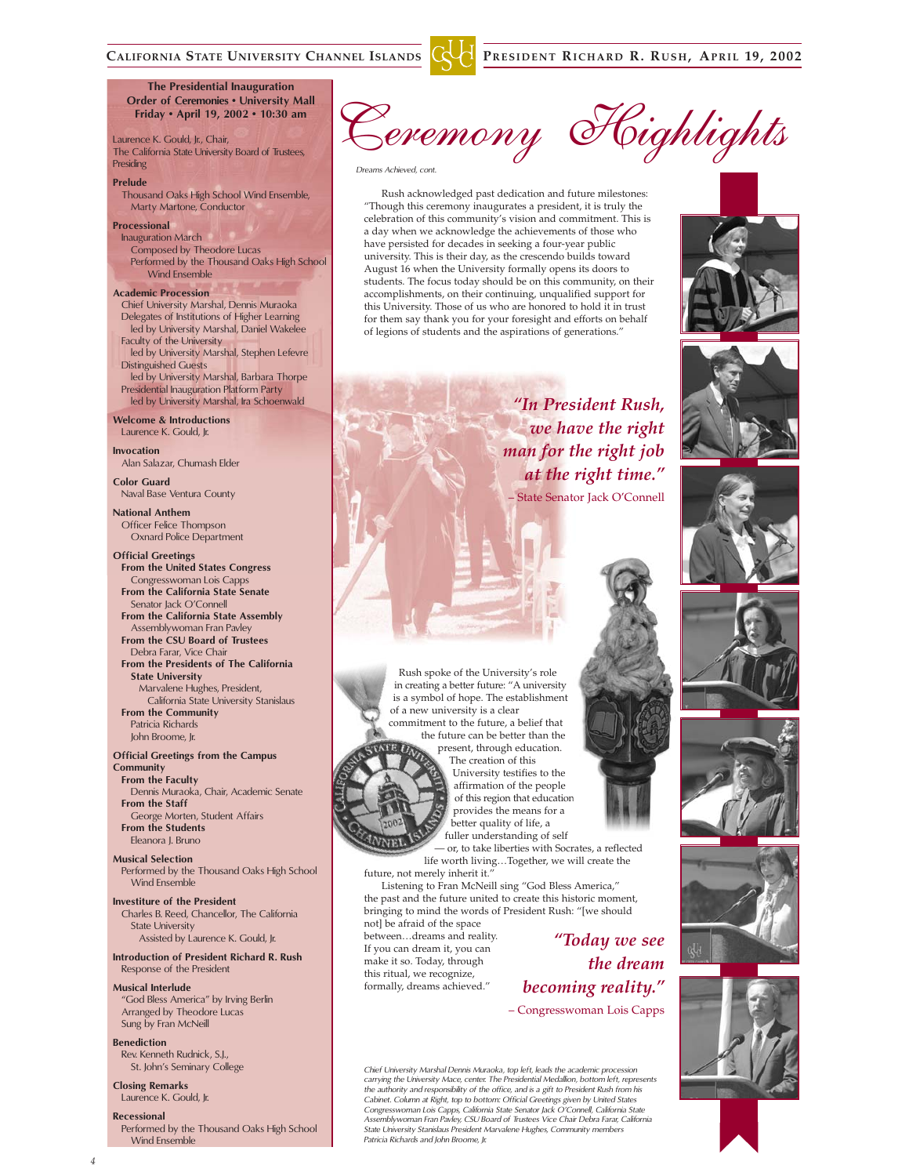**The Presidential Inauguration Order of Ceremonies • University Mall Friday • April 19, 2002 • 10:30 am**

Laurence K. Gould, Jr., Chair, The California State University Board of Trustees, Presiding

#### **Prelude**

Thousand Oaks High School Wind Ensemble, Marty Martone, Conductor

# **Processional**

Inauguration March Composed by Theodore Lucas Performed by the Thousand Oaks High School Wind Ensemble

### **Academic Procession**

Chief University Marshal, Dennis Muraoka Delegates of Institutions of Higher Learning led by University Marshal, Daniel Wakelee Faculty of the University led by University Marshal, Stephen Lefevre Distinguished Guests

led by University Marshal, Barbara Thorpe Presidential Inauguration Platform Party led by University Marshal, Ira Schoenwald

**Welcome & Introductions** Laurence K. Gould, Jr.

**Invocation** Alan Salazar, Chumash Elder

**Color Guard** Naval Base Ventura County

**National Anthem** Officer Felice Thompson Oxnard Police Department

**Official Greetings From the United States Congress** Congresswoman Lois Capps **From the California State Senate** Senator Jack O'Connell **From the California State Assembly** Assemblywoman Fran Pavley **From the CSU Board of Trustees** Debra Farar, Vice Chair **From the Presidents of The California State University** Marvalene Hughes, President, California State University Stanislaus **From the Community** Patricia Richards

John Broome, Jr.

#### **Official Greetings from the Campus Community**

**From the Faculty** Dennis Muraoka, Chair, Academic Senate **From the Staff** George Morten, Student Affairs **From the Students** Eleanora J. Bruno

**Musical Selection** Performed by the Thousand Oaks High School Wind Ensemble

**Investiture of the President** Charles B. Reed, Chancellor, The California State University Assisted by Laurence K. Gould, Jr.

## **Introduction of President Richard R. Rush** Response of the President

**Musical Interlude**

"God Bless America" by Irving Berlin Arranged by Theodore Lucas Sung by Fran McNeill

**Benediction** Rev. Kenneth Rudnick, S.J., St. John's Seminary College

**Closing Remarks** Laurence K. Gould, Jr.

# **Recessional**

Performed by the Thousand Oaks High School Wind Ensemble

Ceremony Highlights

# *Dreams Achieved, cont.*

Rush acknowledged past dedication and future milestones: "Though this ceremony inaugurates a president, it is truly the celebration of this community's vision and commitment. This is a day when we acknowledge the achievements of those who have persisted for decades in seeking a four-year public university. This is their day, as the crescendo builds toward August 16 when the University formally opens its doors to students. The focus today should be on this community, on their accomplishments, on their continuing, unqualified support for this University. Those of us who are honored to hold it in trust for them say thank you for your foresight and efforts on behalf of legions of students and the aspirations of generations."

Rush spoke of the University's role in creating a better future: "A university is a symbol of hope. The establishment of a new university is a clear commitment to the future, a belief that the future can be better than the present, through education. The creation of this University testifies to the affirmation of the people of this region that education provides the means for a better quality of life, a fuller understanding of self

future, not merely inherit it."

not] be afraid of the space between…dreams and reality. If you can dream it, you can make it so. Today, through this ritual, we recognize, formally, dreams achieved."













*Chief University Marshal Dennis Muraoka, top left, leads the academic procession carrying the University Mace, center. The Presidential Medallion, bottom left, represents the authority and responsibility of the office, and is a gift to President Rush from his Cabinet. Column at Right, top to bottom: Official Greetings given by United States Congresswoman Lois Capps, California State Senator Jack O'Connell, California State Assemblywoman Fran Pavley, CSU Board of Trustees Vice Chair Debra Farar, California State University Stanislaus President Marvalene Hughes, Community members Patricia Richards and John Broome, Jr.*

Listening to Fran McNeill sing "God Bless America," the past and the future united to create this historic moment, bringing to mind the words of President Rush: "[we should

— or, to take liberties with Socrates, a reflected life worth living…Together, we will create the

> *"Today we see the dream*

*becoming reality."* – Congresswoman Lois Capps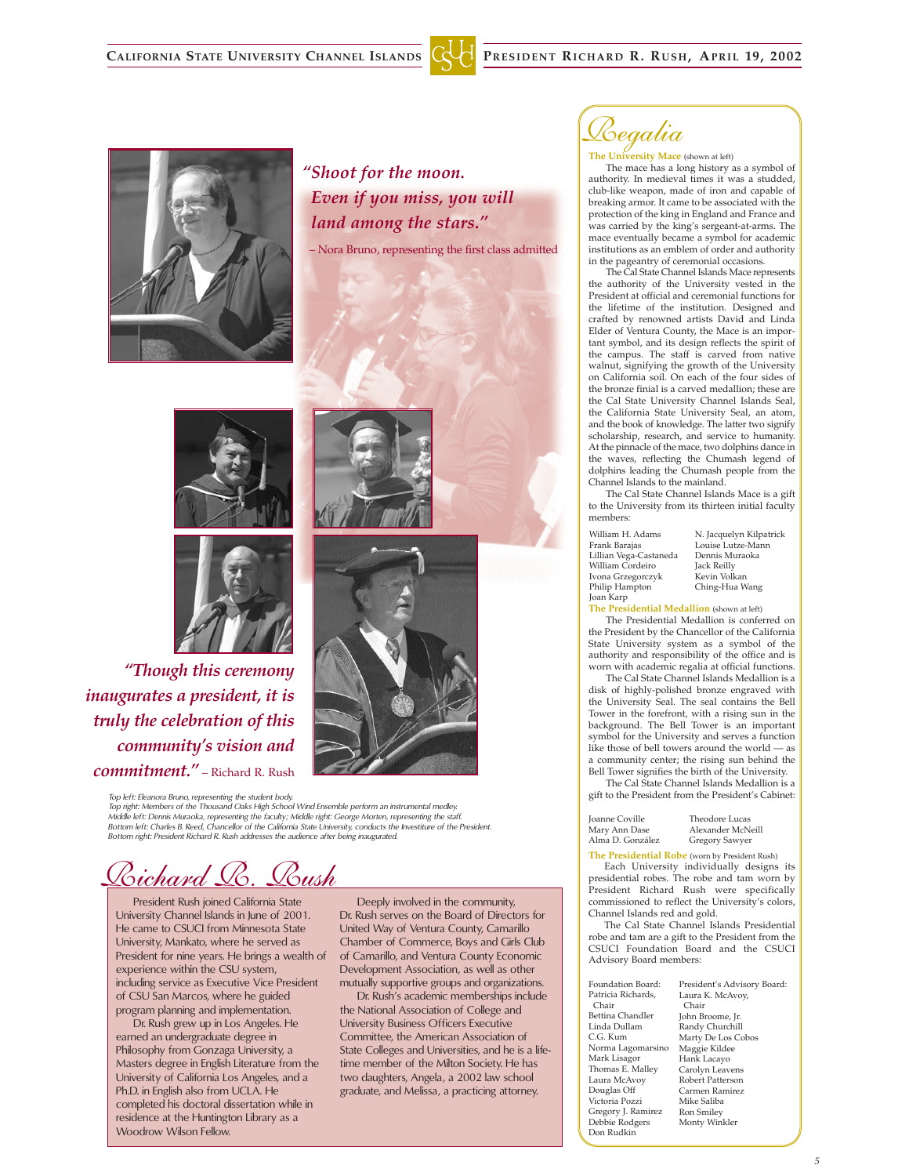



*"Shoot for the moon. Even if you miss, you will land among the stars."* – Nora Bruno, representing the first class admitted





*"Though this ceremony inaugurates a president, it is truly the celebration of this community's vision and commitment."* – Richard R. Rush

> *Top left: Eleanora Bruno, representing the student body. Top right: Members of the Thousand Oaks High School Wind Ensemble perform an instrumental medley.*  Middle left: Dennis Muraoka, representing the faculty; Middle right: George Morten, representing the staff.<br>Bottom left: Charles B. Reed, Chancellor of the California State University, conducts the Investiture of the Presi *Bottom right: President Richard R. Rush addresses the audience after being inaugurated.*

<u>Richard R. Rush</u>

President Rush joined California State University Channel Islands in June of 2001. He came to CSUCI from Minnesota State University, Mankato, where he served as President for nine years. He brings a wealth of experience within the CSU system, including service as Executive Vice President of CSU San Marcos, where he guided program planning and implementation.

Dr. Rush grew up in Los Angeles. He earned an undergraduate degree in Philosophy from Gonzaga University, a Masters degree in English Literature from the University of California Los Angeles, and a Ph.D. in English also from UCLA. He completed his doctoral dissertation while in residence at the Huntington Library as a Woodrow Wilson Fellow.

Deeply involved in the community, Dr. Rush serves on the Board of Directors for United Way of Ventura County, Camarillo Chamber of Commerce, Boys and Girls Club of Camarillo, and Ventura County Economic Development Association, as well as other mutually supportive groups and organizations.

Dr. Rush's academic memberships include the National Association of College and University Business Officers Executive Committee, the American Association of State Colleges and Universities, and he is a lifetime member of the Milton Society. He has two daughters, Angela, a 2002 law school graduate, and Melissa, a practicing attorney.

Regalia

**The University Mace** (shown at left)

The mace has a long history as a symbol of authority. In medieval times it was a studded, club-like weapon, made of iron and capable of breaking armor. It came to be associated with the protection of the king in England and France and was carried by the king's sergeant-at-arms. The mace eventually became a symbol for academic institutions as an emblem of order and authority in the pageantry of ceremonial occasions.

The Cal State Channel Islands Mace represents the authority of the University vested in the President at official and ceremonial functions for the lifetime of the institution. Designed and crafted by renowned artists David and Linda Elder of Ventura County, the Mace is an important symbol, and its design reflects the spirit of the campus. The staff is carved from native walnut, signifying the growth of the University on California soil. On each of the four sides of the bronze finial is a carved medallion; these are the Cal State University Channel Islands Seal, the California State University Seal, an atom, and the book of knowledge. The latter two signify scholarship, research, and service to humanity. At the pinnacle of the mace, two dolphins dance in the waves, reflecting the Chumash legend of dolphins leading the Chumash people from the Channel Islands to the mainland.

The Cal State Channel Islands Mace is a gift to the University from its thirteen initial faculty members:

William H. Adams Frank Barajas Lillian Vega-Castaneda William Cordeiro Ivona Grzegorczyk Philip Hampton Joan Karp

N. Jacquelyn Kilpatrick Louise Lutze-Mann Dennis Muraoka Jack Reilly .<br>Kevin Volkan Ching-Hua Wang

**The Presidential Medallion** (shown at left)

The Presidential Medallion is conferred on the President by the Chancellor of the California State University system as a symbol of the authority and responsibility of the office and is worn with academic regalia at official functions.

The Cal State Channel Islands Medallion is a disk of highly-polished bronze engraved with the University Seal. The seal contains the Bell Tower in the forefront, with a rising sun in the background. The Bell Tower is an important symbol for the University and serves a function like those of bell towers around the world — as a community center; the rising sun behind the Bell Tower signifies the birth of the University.

The Cal State Channel Islands Medallion is a gift to the President from the President's Cabinet:

Alma D. González Theodore Lucas

**The Presidential Robe** (worn by President Rush) Alexander McNeill Gregory Sawyer

Each University individually designs its presidential robes. The robe and tam worn by President Richard Rush were specifically commissioned to reflect the University's colors, Channel Islands red and gold.

The Cal State Channel Islands Presidential robe and tam are a gift to the President from the CSUCI Foundation Board and the CSUCI Advisory Board members:

Foundation Board: Patricia Richards, Chair Bettina Chandler Linda Dullam C.G. Kum Norma Lagomarsino Mark Lisagor Thomas E. Malley Laura McAvoy Douglas Off Victoria Pozzi Gregory J. Ramirez Debbie Rodgers Don Rudkin

President's Advisory Board: Laura K. McAvoy, Chair John Broome, Jr. Randy Churchill Marty De Los Cobos Maggie Kildee Hank Lacayo Carolyn Leavens Robert Patterson Carmen Ramirez Mike Saliba Ron Smiley Monty Winkler

Joanne Coville Mary Ann Dase